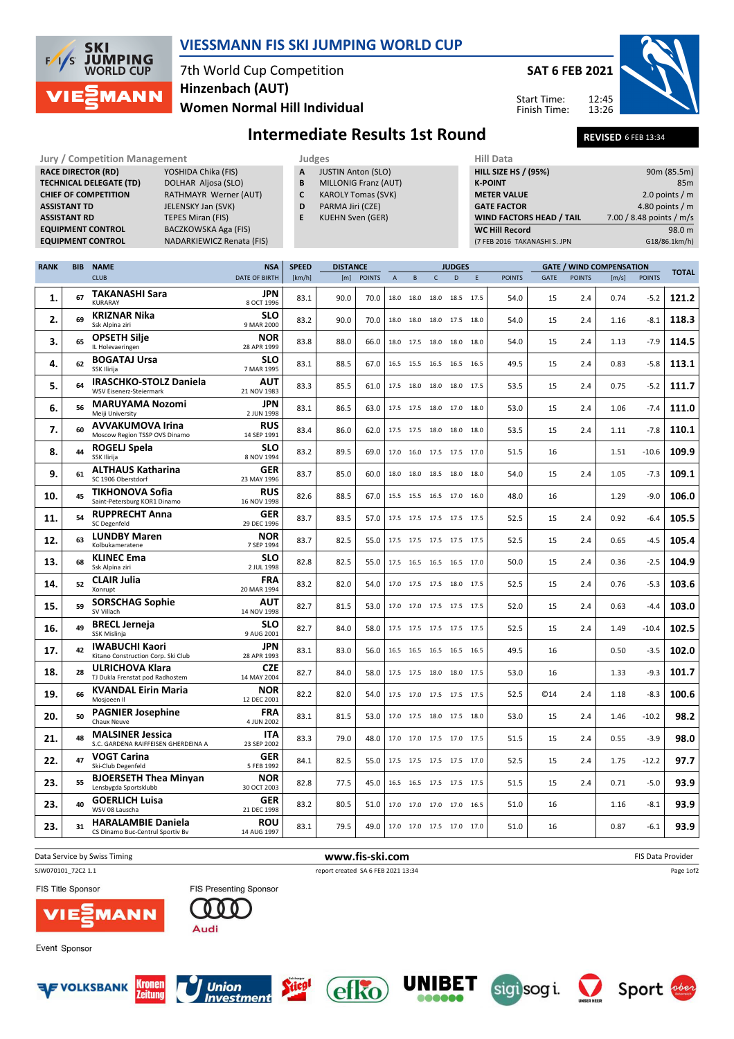

## VIESSMANN FIS SKI JUMPING WORLD CUP

# 7th World Cup Competition Women Normal Hill Individual Hinzenbach (AUT)

SAT 6 FEB 2021

Start Time: Finish Time:



2.0 points / m

### Intermediate Results 1st Round REVISED 6FEB 13:34

#### Jury / Competition Management **Judges** Judges Hill Data<br>
RACE DIRECTOR (RD) YOSHIDA Chika (FIS) **A JUSTIN Anton (SLO)** HILL SIZE HILL SIZE RACE DIRECTOR (RD) **TECHNICAL DELEGATE (TD)** DOLHAR Aljosa (SLO)<br> **CHIEF OF COMPETITION** RATHMAYR Werner ( RATHMAYR Werner (AUT) **ASSISTANT TD** JELENSKY Jan (SVK) **ASSISTANT RD** TEPES Miran (FIS)<br> **EQUIPMENT CONTROL** BACZKOWSKA Aga BACZKOWSKA Aga (FIS) EQUIPMENT CONTROL NADARKIEWICZ Renata (FIS) A JUSTIN Anton (SLO) **B** MILLONIG Franz (AUT)<br>**C** KAROLY Tomas (SVK) KAROLY Tomas (SVK) D PARMA Jiri (CZE) E KUEHN Sven (GER) HILL SIZE HS / (95%) 90m (85.5m) K-POINT 85m<br>
METER VALUE 2.0 points / m GATE FACTOR 4.80 points / m WIND FACTORS HEAD / TAIL 7.00 / 8.48 points / m/s WC Hill Record 98.0 m (7 FEB 2016 TAKANASHI S. JPN G18/86.1km/h)

| <b>RANK</b> | <b>BIB</b> | <b>NAME</b>                                                    | <b>NSA</b>                | <b>SPEED</b> | <b>DISTANCE</b> |               |              |           |              | <b>JUDGES</b>            |   |               |             |               | <b>GATE / WIND COMPENSATION</b> |               | <b>TOTAL</b> |
|-------------|------------|----------------------------------------------------------------|---------------------------|--------------|-----------------|---------------|--------------|-----------|--------------|--------------------------|---|---------------|-------------|---------------|---------------------------------|---------------|--------------|
|             |            | <b>CLUB</b>                                                    | <b>DATE OF BIRTH</b>      | [km/h]       | [m]             | <b>POINTS</b> | $\mathsf{A}$ | B         | $\mathsf{C}$ | D                        | E | <b>POINTS</b> | <b>GATE</b> | <b>POINTS</b> | [m/s]                           | <b>POINTS</b> |              |
| 1.          | 67         | <b>TAKANASHI Sara</b><br><b>KURARAY</b>                        | JPN<br>8 OCT 1996         | 83.1         | 90.0            | 70.0          |              | 18.0 18.0 | 18.0         | 18.5 17.5                |   | 54.0          | 15          | 2.4           | 0.74                            | $-5.2$        | 121.2        |
| 2.          | 69         | <b>KRIZNAR Nika</b><br>Ssk Alpina ziri                         | <b>SLO</b><br>9 MAR 2000  | 83.2         | 90.0            | 70.0          |              | 18.0 18.0 | 18.0         | 17.5 18.0                |   | 54.0          | 15          | 2.4           | 1.16                            | $-8.1$        | 118.3        |
| 3.          | 65         | <b>OPSETH Silje</b><br>IL Holevaeringen                        | <b>NOR</b><br>28 APR 1999 | 83.8         | 88.0            | 66.0          |              |           |              | 18.0 17.5 18.0 18.0 18.0 |   | 54.0          | 15          | 2.4           | 1.13                            | $-7.9$        | 114.5        |
| 4.          | 62         | <b>BOGATAJ Ursa</b><br>SSK Ilirija                             | <b>SLO</b><br>7 MAR 1995  | 83.1         | 88.5            | 67.0          |              |           |              | 16.5 15.5 16.5 16.5 16.5 |   | 49.5          | 15          | 2.4           | 0.83                            | $-5.8$        | 113.1        |
| 5.          | 64         | <b>IRASCHKO-STOLZ Daniela</b><br>WSV Eisenerz-Steiermark       | <b>AUT</b><br>21 NOV 1983 | 83.3         | 85.5            | 61.0          |              | 17.5 18.0 | 18.0         | 18.0 17.5                |   | 53.5          | 15          | 2.4           | 0.75                            | $-5.2$        | 111.7        |
| 6.          | 56         | <b>MARUYAMA Nozomi</b><br>Meiji University                     | JPN<br>2 JUN 1998         | 83.1         | 86.5            | 63.0          |              |           |              | 17.5 17.5 18.0 17.0 18.0 |   | 53.0          | 15          | 2.4           | 1.06                            | $-7.4$        | 111.0        |
| 7.          | 60         | <b>AVVAKUMOVA Irina</b><br>Moscow Region TSSP OVS Dinamo       | <b>RUS</b><br>14 SEP 1991 | 83.4         | 86.0            | 62.0          |              | 17.5 17.5 |              | 18.0 18.0 18.0           |   | 53.5          | 15          | 2.4           | 1.11                            | $-7.8$        | 110.1        |
| 8.          | 44         | ROGELJ Spela<br>SSK Ilirija                                    | <b>SLO</b><br>8 NOV 1994  | 83.2         | 89.5            | 69.0          |              | 17.0 16.0 |              | 17.5 17.5 17.0           |   | 51.5          | 16          |               | 1.51                            | $-10.6$       | 109.9        |
| 9.          | 61         | <b>ALTHAUS Katharina</b><br>SC 1906 Oberstdorf                 | <b>GER</b><br>23 MAY 1996 | 83.7         | 85.0            | 60.0          |              |           |              | 18.0 18.0 18.5 18.0 18.0 |   | 54.0          | 15          | 2.4           | 1.05                            | $-7.3$        | 109.1        |
| 10.         | 45         | <b>TIKHONOVA Sofia</b><br>Saint-Petersburg KOR1 Dinamo         | <b>RUS</b><br>16 NOV 1998 | 82.6         | 88.5            | 67.0          |              |           |              | 15.5 15.5 16.5 17.0 16.0 |   | 48.0          | 16          |               | 1.29                            | $-9.0$        | 106.0        |
| 11.         | 54         | <b>RUPPRECHT Anna</b><br><b>SC Degenfeld</b>                   | GER<br>29 DEC 1996        | 83.7         | 83.5            | 57.0          |              |           |              | 17.5 17.5 17.5 17.5 17.5 |   | 52.5          | 15          | 2.4           | 0.92                            | $-6.4$        | 105.5        |
| 12.         | 63         | <b>LUNDBY Maren</b><br>Kolbukameratene                         | <b>NOR</b><br>7 SEP 1994  | 83.7         | 82.5            | 55.0          |              |           |              | 17.5 17.5 17.5 17.5 17.5 |   | 52.5          | 15          | 2.4           | 0.65                            | $-4.5$        | 105.4        |
| 13.         | 68         | <b>KLINEC Ema</b><br>Ssk Alpina ziri                           | SLO<br>2 JUL 1998         | 82.8         | 82.5            | 55.0          |              |           |              | 17.5 16.5 16.5 16.5 17.0 |   | 50.0          | 15          | 2.4           | 0.36                            | $-2.5$        | 104.9        |
| 14.         | 52         | <b>CLAIR Julia</b><br>Xonrupt                                  | FRA<br>20 MAR 1994        | 83.2         | 82.0            | 54.0          |              | 17.0 17.5 |              | 17.5 18.0 17.5           |   | 52.5          | 15          | 2.4           | 0.76                            | $-5.3$        | 103.6        |
| 15.         | 59         | <b>SORSCHAG Sophie</b><br>SV Villach                           | <b>AUT</b><br>14 NOV 1998 | 82.7         | 81.5            | 53.0          |              | 17.0 17.0 |              | 17.5 17.5 17.5           |   | 52.0          | 15          | 2.4           | 0.63                            | $-4.4$        | 103.0        |
| 16.         | 49         | <b>BRECL Jerneja</b><br>SSK Mislinja                           | <b>SLO</b><br>9 AUG 2001  | 82.7         | 84.0            | 58.0          |              |           |              | 17.5 17.5 17.5 17.5 17.5 |   | 52.5          | 15          | 2.4           | 1.49                            | $-10.4$       | 102.5        |
| 17.         | 42         | <b>IWABUCHI Kaori</b><br>Kitano Construction Corp. Ski Club    | JPN<br>28 APR 1993        | 83.1         | 83.0            | 56.0          |              |           |              | 16.5 16.5 16.5 16.5 16.5 |   | 49.5          | 16          |               | 0.50                            | $-3.5$        | 102.0        |
| 18.         | 28         | <b>ULRICHOVA Klara</b><br>TJ Dukla Frenstat pod Radhostem      | <b>CZE</b><br>14 MAY 2004 | 82.7         | 84.0            | 58.0          |              | 17.5 17.5 |              | 18.0 18.0 17.5           |   | 53.0          | 16          |               | 1.33                            | $-9.3$        | 101.7        |
| 19.         | 66         | <b>KVANDAL Eirin Maria</b><br>Mosjoeen II                      | <b>NOR</b><br>12 DEC 2001 | 82.2         | 82.0            | 54.0          |              | 17.5 17.0 | 17.5         | 17.5 17.5                |   | 52.5          | ©14         | 2.4           | 1.18                            | $-8.3$        | 100.6        |
| 20.         | 50         | <b>PAGNIER Josephine</b><br>Chaux Neuve                        | <b>FRA</b><br>4 JUN 2002  | 83.1         | 81.5            | 53.0          |              | 17.0 17.5 |              | 18.0 17.5 18.0           |   | 53.0          | 15          | 2.4           | 1.46                            | $-10.2$       | 98.2         |
| 21.         | 48         | <b>MALSINER Jessica</b><br>S.C. GARDENA RAIFFEISEN GHERDEINA A | <b>ITA</b><br>23 SEP 2002 | 83.3         | 79.0            | 48.0          |              | 17.0 17.0 |              | 17.5 17.0 17.5           |   | 51.5          | 15          | 2.4           | 0.55                            | $-3.9$        | 98.0         |
| 22.         | 47         | <b>VOGT Carina</b><br>Ski-Club Degenfeld                       | <b>GER</b><br>5 FEB 1992  | 84.1         | 82.5            | 55.0          |              |           |              | 17.5 17.5 17.5 17.5 17.0 |   | 52.5          | 15          | 2.4           | 1.75                            | $-12.2$       | 97.7         |
| 23.         | 55         | <b>BJOERSETH Thea Minyan</b><br>Lensbygda Sportsklubb          | <b>NOR</b><br>30 OCT 2003 | 82.8         | 77.5            | 45.0          |              |           |              | 16.5 16.5 17.5 17.5 17.5 |   | 51.5          | 15          | 2.4           | 0.71                            | $-5.0$        | 93.9         |
| 23.         | 40         | <b>GOERLICH Luisa</b><br>WSV 08 Lauscha                        | <b>GER</b><br>21 DEC 1998 | 83.2         | 80.5            | 51.0          |              | 17.0 17.0 |              | 17.0 17.0 16.5           |   | 51.0          | 16          |               | 1.16                            | $-8.1$        | 93.9         |
| 23.         | 31         | <b>HARALAMBIE Daniela</b><br>CS Dinamo Buc-Centrul Sportiv Bv  | <b>ROU</b><br>14 AUG 1997 | 83.1         | 79.5            | 49.0          |              |           |              | 17.0 17.0 17.5 17.0 17.0 |   | 51.0          | 16          |               | 0.87                            | $-6.1$        | 93.9         |

Data Service by Swiss Timing **Example 2018** 2019 12:30 W**WW.fis-ski.com WWW.fis-Ski.com** FIS Data Provider SJW070101\_72C2 1.1 report created SA 6 FEB 2021 13:34 Page 1of2FIS Title Sponsor FIS Presenting Sponsor **ANN** 





Event Sponsor